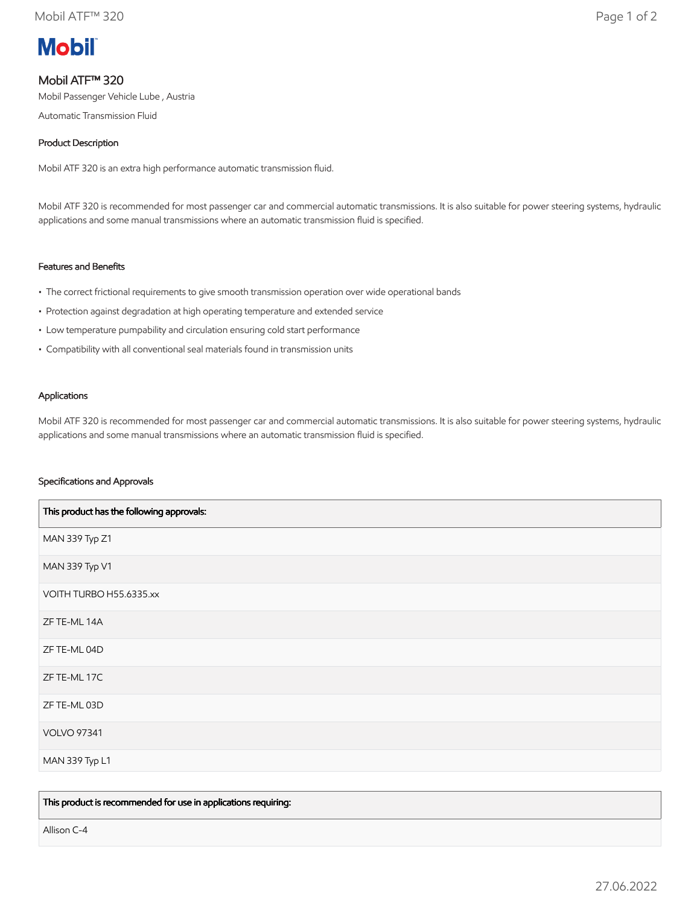

# Mobil ATF™ 320

Mobil Passenger Vehicle Lube , Austria

Automatic Transmission Fluid

## Product Description

Mobil ATF 320 is an extra high performance automatic transmission fluid.

Mobil ATF 320 is recommended for most passenger car and commercial automatic transmissions. It is also suitable for power steering systems, hydraulic applications and some manual transmissions where an automatic transmission fluid is specified.

## Features and Benefits

- The correct frictional requirements to give smooth transmission operation over wide operational bands
- Protection against degradation at high operating temperature and extended service
- Low temperature pumpability and circulation ensuring cold start performance
- Compatibility with all conventional seal materials found in transmission units

### Applications

Mobil ATF 320 is recommended for most passenger car and commercial automatic transmissions. It is also suitable for power steering systems, hydraulic applications and some manual transmissions where an automatic transmission fluid is specified.

### Specifications and Approvals

| This product has the following approvals: |
|-------------------------------------------|
| MAN 339 Typ Z1                            |
| MAN 339 Typ V1                            |
| VOITH TURBO H55.6335.xx                   |
| ZF TE-ML 14A                              |
| ZF TE-ML 04D                              |
| ZF TE-ML 17C                              |
| ZF TE-ML 03D                              |
| <b>VOLVO 97341</b>                        |
| MAN 339 Typ L1                            |

This product is recommended for use in applications requiring:

Allison C-4